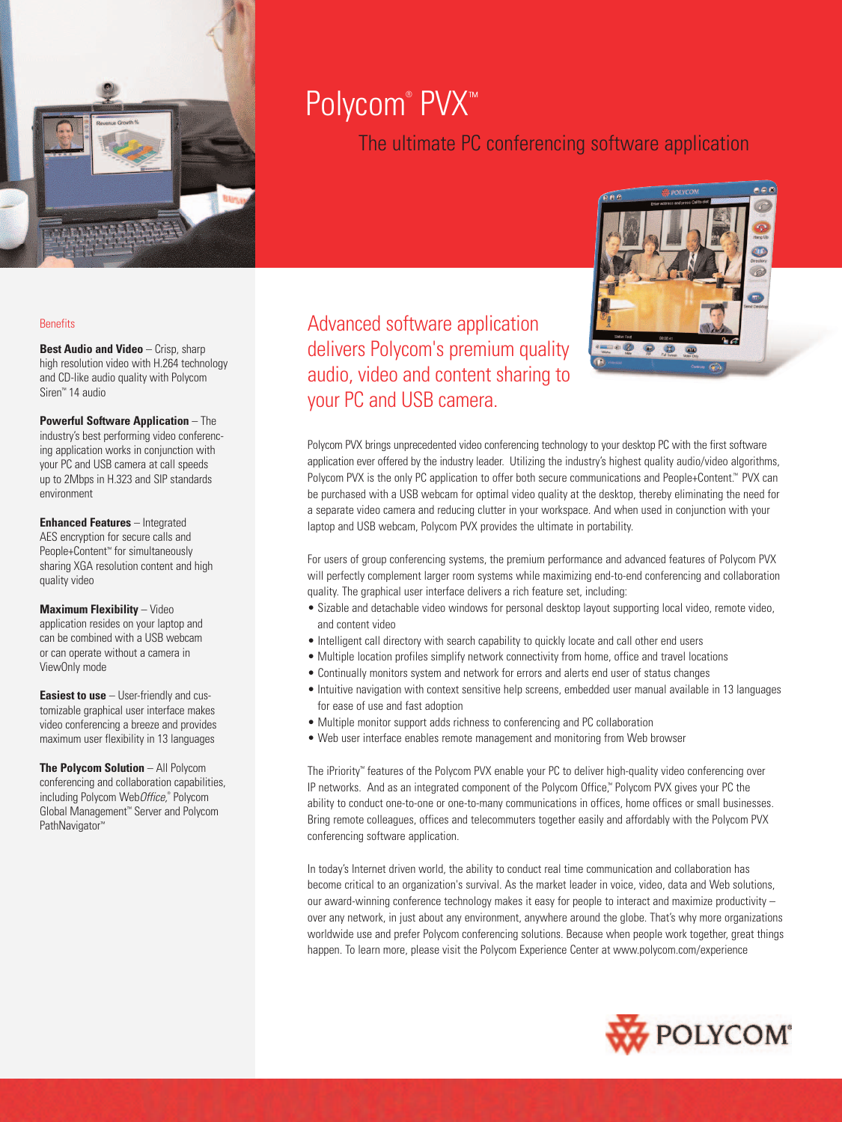

# Polycom® PVX™

The ultimate PC conferencing software application

# **Benefits**

**Best Audio and Video** - Crisp, sharp high resolution video with H.264 technology and CD-like audio quality with Polycom Siren™ 14 audio

**Powerful Software Application** – The industry's best performing video conferencing application works in conjunction with your PC and USB camera at call speeds up to 2Mbps in H.323 and SIP standards environment

**Enhanced Features** – Integrated AES encryption for secure calls and People+Content™ for simultaneously sharing XGA resolution content and high quality video

**Maximum Flexibility** – Video application resides on your laptop and can be combined with a USB webcam or can operate without a camera in ViewOnly mode

**Easiest to use** – User-friendly and customizable graphical user interface makes video conferencing a breeze and provides maximum user flexibility in 13 languages

**The Polycom Solution** – All Polycom conferencing and collaboration capabilities, including Polycom WebOffice,® Polycom Global Management™ Server and Polycom PathNavigator<sup>™</sup>

Advanced software application delivers Polycom's premium quality audio, video and content sharing to your PC and USB camera.



Polycom PVX brings unprecedented video conferencing technology to your desktop PC with the first software application ever offered by the industry leader. Utilizing the industry's highest quality audio/video algorithms, Polycom PVX is the only PC application to offer both secure communications and People+Content.™ PVX can be purchased with a USB webcam for optimal video quality at the desktop, thereby eliminating the need for a separate video camera and reducing clutter in your workspace. And when used in conjunction with your laptop and USB webcam, Polycom PVX provides the ultimate in portability.

For users of group conferencing systems, the premium performance and advanced features of Polycom PVX will perfectly complement larger room systems while maximizing end-to-end conferencing and collaboration quality. The graphical user interface delivers a rich feature set, including:

- Sizable and detachable video windows for personal desktop layout supporting local video, remote video, and content video
- Intelligent call directory with search capability to quickly locate and call other end users
- Multiple location profiles simplify network connectivity from home, office and travel locations
- Continually monitors system and network for errors and alerts end user of status changes
- Intuitive navigation with context sensitive help screens, embedded user manual available in 13 languages for ease of use and fast adoption
- Multiple monitor support adds richness to conferencing and PC collaboration
- Web user interface enables remote management and monitoring from Web browser

The iPriority™ features of the Polycom PVX enable your PC to deliver high-quality video conferencing over IP networks. And as an integrated component of the Polycom Office,™ Polycom PVX gives your PC the ability to conduct one-to-one or one-to-many communications in offices, home offices or small businesses. Bring remote colleagues, offices and telecommuters together easily and affordably with the Polycom PVX conferencing software application.

In today's Internet driven world, the ability to conduct real time communication and collaboration has become critical to an organization's survival. As the market leader in voice, video, data and Web solutions, our award-winning conference technology makes it easy for people to interact and maximize productivity – over any network, in just about any environment, anywhere around the globe. That's why more organizations worldwide use and prefer Polycom conferencing solutions. Because when people work together, great things happen. To learn more, please visit the Polycom Experience Center at www.polycom.com/experience